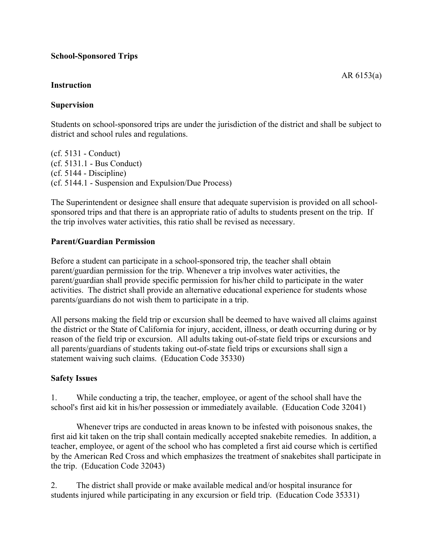# **School-Sponsored Trips**

#### **Instruction**

# **Supervision**

Students on school-sponsored trips are under the jurisdiction of the district and shall be subject to district and school rules and regulations.

(cf. 5131 - Conduct) (cf. 5131.1 - Bus Conduct) (cf. 5144 - Discipline) (cf. 5144.1 - Suspension and Expulsion/Due Process)

The Superintendent or designee shall ensure that adequate supervision is provided on all schoolsponsored trips and that there is an appropriate ratio of adults to students present on the trip. If the trip involves water activities, this ratio shall be revised as necessary.

# **Parent/Guardian Permission**

Before a student can participate in a school-sponsored trip, the teacher shall obtain parent/guardian permission for the trip. Whenever a trip involves water activities, the parent/guardian shall provide specific permission for his/her child to participate in the water activities. The district shall provide an alternative educational experience for students whose parents/guardians do not wish them to participate in a trip.

All persons making the field trip or excursion shall be deemed to have waived all claims against the district or the State of California for injury, accident, illness, or death occurring during or by reason of the field trip or excursion. All adults taking out-of-state field trips or excursions and all parents/guardians of students taking out-of-state field trips or excursions shall sign a statement waiving such claims. (Education Code 35330)

#### **Safety Issues**

1. While conducting a trip, the teacher, employee, or agent of the school shall have the school's first aid kit in his/her possession or immediately available. (Education Code 32041)

Whenever trips are conducted in areas known to be infested with poisonous snakes, the first aid kit taken on the trip shall contain medically accepted snakebite remedies. In addition, a teacher, employee, or agent of the school who has completed a first aid course which is certified by the American Red Cross and which emphasizes the treatment of snakebites shall participate in the trip. (Education Code 32043)

2. The district shall provide or make available medical and/or hospital insurance for students injured while participating in any excursion or field trip. (Education Code 35331)